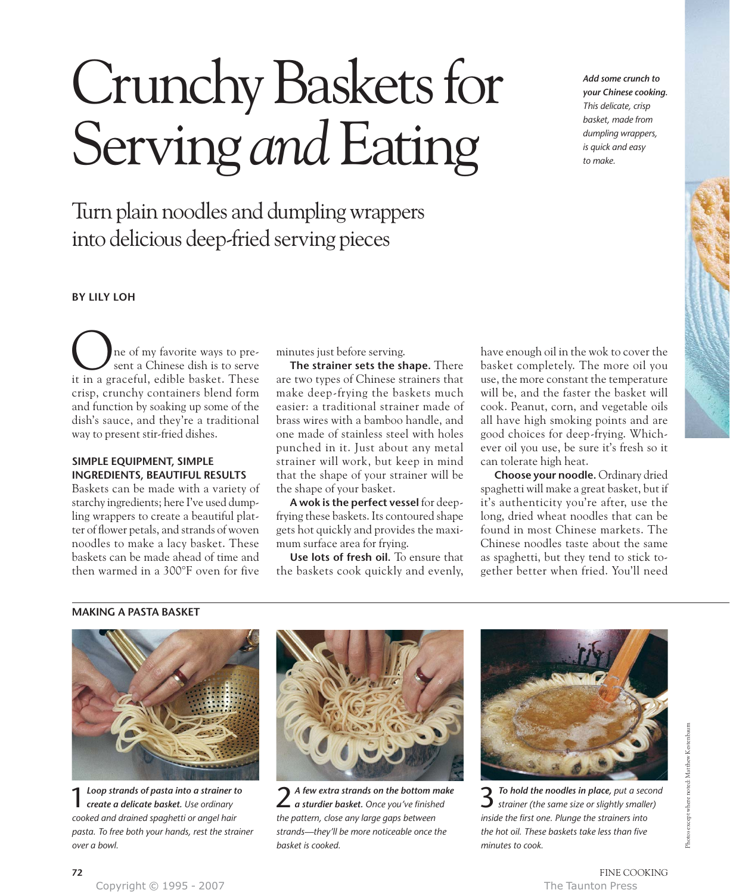# Crunchy Baskets for Serving *and* Eating

Turn plain noodles and dumpling wrappers into delicious deep-fried serving pieces

*Add some crunch to your Chinese cooking. This delicate, crisp basket, made from dumpling wrappers, is quick and easy to make.* 

## **BY LILY LOH**

ne of my favorite ways to present a Chinese dish is to serve it in a graceful, edible basket. These O crisp, crunchy containers blend form and function by soaking up some of the dish's sauce, and they're a traditional way to present stir-fried dishes.

## **SIMPLE EQUIPMENT, SIMPLE INGREDIENTS, BEAUTIFUL RESULTS**

Baskets can be made with a variety of starchy ingredients; here I've used dumpling wrappers to create a beautiful platter of flower petals, and strands of woven noodles to make a lacy basket. These baskets can be made ahead of time and then warmed in a 300°F oven for five minutes just before serving.

**The strainer sets the shape.** There are two types of Chinese strainers that make deep-frying the baskets much easier: a traditional strainer made of brass wires with a bamboo handle, and one made of stainless steel with holes punched in it. Just about any metal strainer will work, but keep in mind that the shape of your strainer will be the shape of your basket.

**A wok is the perfect vessel** for deepfrying these baskets. Its contoured shape gets hot quickly and provides the maximum surface area for frying.

**Use lots of fresh oil.** To ensure that the baskets cook quickly and evenly,

have enough oil in the wok to cover the basket completely. The more oil you use, the more constant the temperature will be, and the faster the basket will cook. Peanut, corn, and vegetable oils all have high smoking points and are good choices for deep-frying. Whichever oil you use, be sure it's fresh so it can tolerate high heat.

**Choose your noodle.** Ordinary dried spaghetti will make a great basket, but if it's authenticity you're after, use the long, dried wheat noodles that can be found in most Chinese markets. The Chinese noodles taste about the same as spaghetti, but they tend to stick together better when fried. You'll need

## **MAKING A PASTA BASKET**



1*Loop strands of pasta into a strainer to create a delicate basket. Use ordinary cooked and drained spaghetti or angel hair pasta. To free both your hands, rest the strainer over a bowl.*



2 *A few extra strands on the bottom make a sturdier basket. Once you've finished the pattern, close any large gaps between strands—they'll be more noticeable once the basket is cooked.*



3*To hold the noodles in place, put a second strainer (the same size or slightly smaller) inside the first one. Plunge the strainers into the hot oil. These baskets take less than five minutes to cook.*